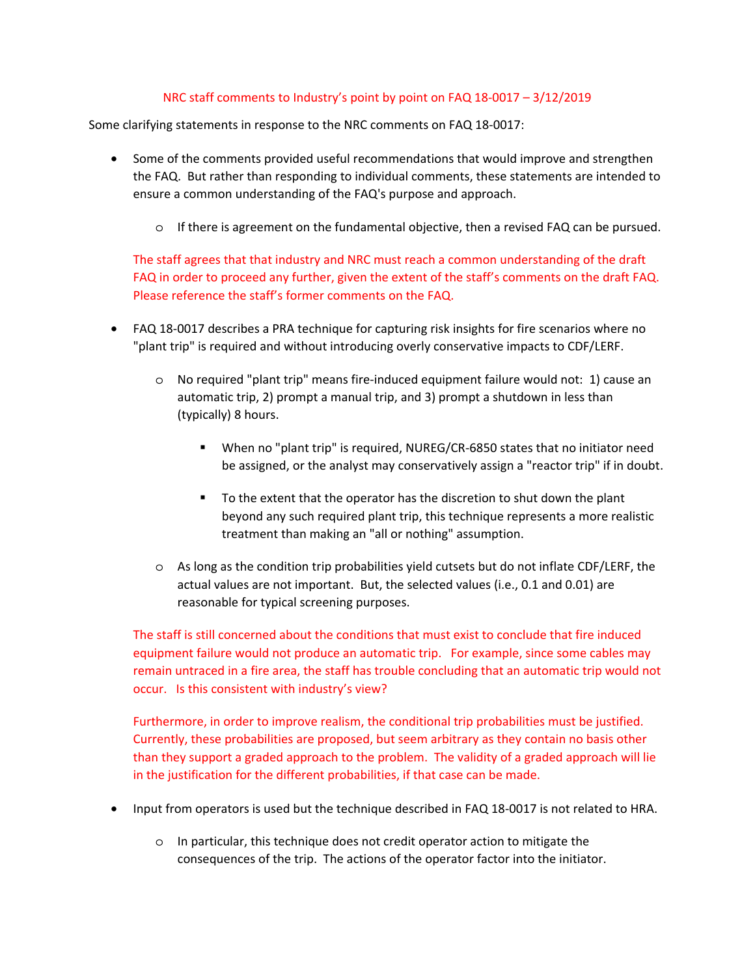## NRC staff comments to Industry's point by point on FAQ 18-0017 – 3/12/2019

Some clarifying statements in response to the NRC comments on FAQ 18-0017:

- Some of the comments provided useful recommendations that would improve and strengthen the FAQ. But rather than responding to individual comments, these statements are intended to ensure a common understanding of the FAQ's purpose and approach.
	- o If there is agreement on the fundamental objective, then a revised FAQ can be pursued.

The staff agrees that that industry and NRC must reach a common understanding of the draft FAQ in order to proceed any further, given the extent of the staff's comments on the draft FAQ. Please reference the staff's former comments on the FAQ.

- FAQ 18-0017 describes a PRA technique for capturing risk insights for fire scenarios where no "plant trip" is required and without introducing overly conservative impacts to CDF/LERF.
	- o No required "plant trip" means fire-induced equipment failure would not: 1) cause an automatic trip, 2) prompt a manual trip, and 3) prompt a shutdown in less than (typically) 8 hours.
		- When no "plant trip" is required, NUREG/CR-6850 states that no initiator need be assigned, or the analyst may conservatively assign a "reactor trip" if in doubt.
		- To the extent that the operator has the discretion to shut down the plant beyond any such required plant trip, this technique represents a more realistic treatment than making an "all or nothing" assumption.
	- o As long as the condition trip probabilities yield cutsets but do not inflate CDF/LERF, the actual values are not important. But, the selected values (i.e., 0.1 and 0.01) are reasonable for typical screening purposes.

The staff is still concerned about the conditions that must exist to conclude that fire induced equipment failure would not produce an automatic trip. For example, since some cables may remain untraced in a fire area, the staff has trouble concluding that an automatic trip would not occur. Is this consistent with industry's view?

Furthermore, in order to improve realism, the conditional trip probabilities must be justified. Currently, these probabilities are proposed, but seem arbitrary as they contain no basis other than they support a graded approach to the problem. The validity of a graded approach will lie in the justification for the different probabilities, if that case can be made.

- Input from operators is used but the technique described in FAQ 18-0017 is not related to HRA.
	- o In particular, this technique does not credit operator action to mitigate the consequences of the trip. The actions of the operator factor into the initiator.